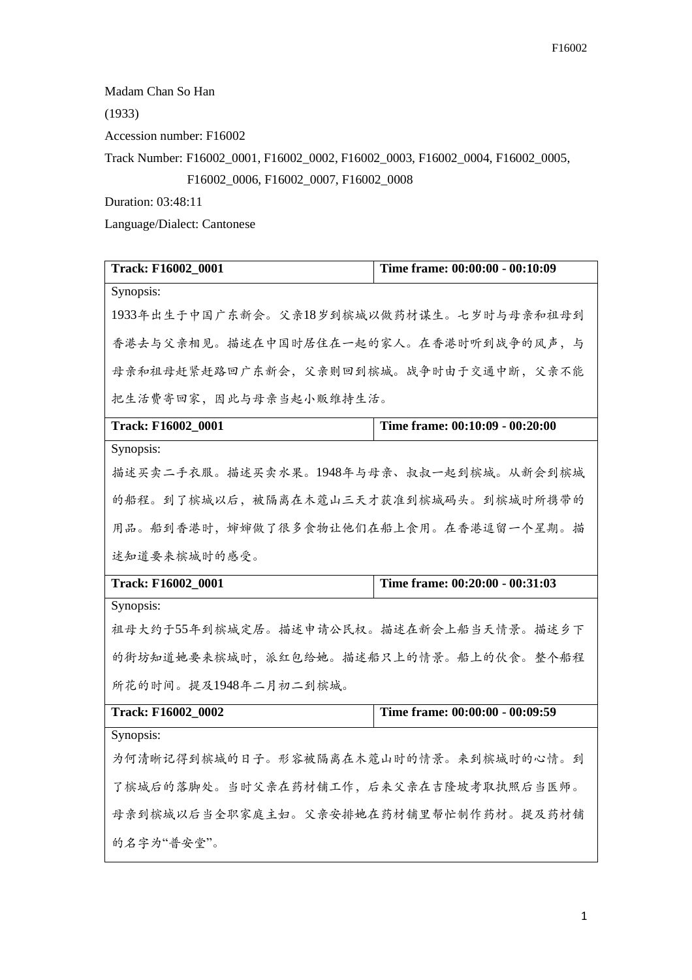Madam Chan So Han

(1933)

Accession number: F16002

Track Number: F16002\_0001, F16002\_0002, F16002\_0003, F16002\_0004, F16002\_0005,

F16002\_0006, F16002\_0007, F16002\_0008

Duration: 03:48:11

Language/Dialect: Cantonese

| Track: F16002_0001                       | Time frame: 00:00:00 - 00:10:09 |
|------------------------------------------|---------------------------------|
| Synopsis:                                |                                 |
| 1933年出生于中国广东新会。父亲18岁到槟城以做药材谋生。七岁时与母亲和祖母到 |                                 |
| 香港去与父亲相见。描述在中国时居住在一起的家人。在香港时听到战争的风声,与    |                                 |
| 母亲和祖母赶紧赶路回广东新会,父亲则回到槟城。战争时由于交通中断,父亲不能    |                                 |
| 把生活费寄回家,因此与母亲当起小贩维持生活。                   |                                 |
| Track: F16002_0001                       | Time frame: 00:10:09 - 00:20:00 |
| Synopsis:                                |                                 |
| 描述买卖二手衣服。描述买卖水果。1948年与母亲、叔叔一起到槟城。从新会到槟城  |                                 |
| 的船程。到了槟城以后,被隔离在木蔻山三天才获准到槟城码头。到槟城时所携带的    |                                 |
| 用品。船到香港时,婶婶做了很多食物让他们在船上食用。在香港逗留一个星期。描    |                                 |
| 述知道要来槟城时的感受。                             |                                 |
| <b>Track: F16002 0001</b>                | Time frame: 00:20:00 - 00:31:03 |
| Synopsis:                                |                                 |
| 祖母大约于55年到槟城定居。描述申请公民权。描述在新会上船当天情景。描述乡下   |                                 |
| 的街坊知道她要来槟城时,派红包给她。描述船只上的情景。船上的伙食。整个船程    |                                 |
| 所花的时间。提及1948年二月初二到槟城。                    |                                 |
| Track: F16002_0002                       | Time frame: 00:00:00 - 00:09:59 |
| Synopsis:                                |                                 |
| 为何清晰记得到槟城的日子。形容被隔离在木蔻山时的情景。来到槟城时的心情。到    |                                 |
| 了槟城后的落脚处。当时父亲在药材铺工作,后来父亲在吉隆坡考取执照后当医师。    |                                 |
| 母亲到槟城以后当全职家庭主妇。父亲安排她在药材铺里帮忙制作药材。提及药材铺    |                                 |
| 的名字为"普安堂"。                               |                                 |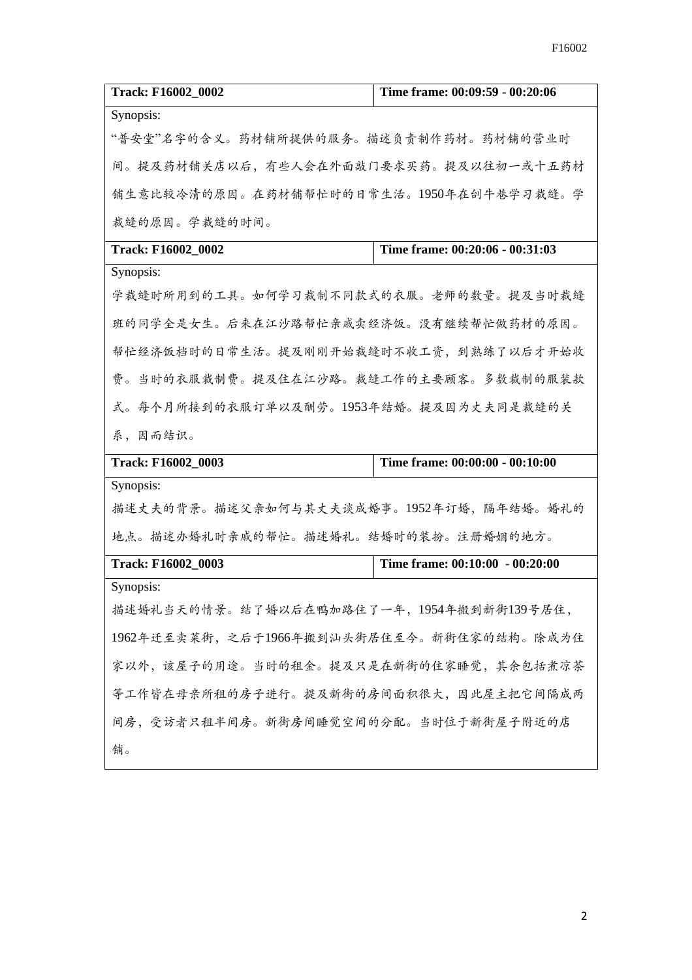| Track: F16002_0002                        | Time frame: 00:09:59 - 00:20:06 |
|-------------------------------------------|---------------------------------|
| Synopsis:                                 |                                 |
| "普安堂"名字的含义。药材铺所提供的服务。描述负责制作药材。药材铺的营业时     |                                 |
| 间。提及药材铺关店以后,有些人会在外面敲门要求买药。提及以往初一或十五药材     |                                 |
| 铺生意比较冷清的原因。在药材铺帮忙时的日常生活。1950年在创牛巷学习裁缝。学   |                                 |
| 裁缝的原因。学裁缝的时间。                             |                                 |
| Track: F16002_0002                        | Time frame: 00:20:06 - 00:31:03 |
| Synopsis:                                 |                                 |
| 学裁缝时所用到的工具。如何学习裁制不同款式的衣服。老师的数量。提及当时裁缝     |                                 |
| 班的同学全是女生。后来在江沙路帮忙亲戚卖经济饭。没有继续帮忙做药材的原因。     |                                 |
| 帮忙经济饭档时的日常生活。提及刚刚开始裁缝时不收工资,到熟练了以后才开始收     |                                 |
| 费。当时的衣服裁制费。提及住在江沙路。裁缝工作的主要顾客。多数裁制的服装款     |                                 |
| 式。每个月所接到的衣服订单以及酬劳。1953年结婚。提及因为丈夫同是裁缝的关    |                                 |
| 系, 因而结识。                                  |                                 |
| Track: F16002_0003                        | Time frame: 00:00:00 - 00:10:00 |
| Synopsis:                                 |                                 |
| 描述丈夫的背景。描述父亲如何与其丈夫谈成婚事。1952年订婚,隔年结婚。婚礼的   |                                 |
| 地点。描述办婚礼时亲戚的帮忙。描述婚礼。结婚时的装扮。注册婚姻的地方。       |                                 |
| Track: F16002_0003                        | Time frame: 00:10:00 - 00:20:00 |
| Synopsis:                                 |                                 |
| 描述婚礼当天的情景。结了婚以后在鸭加路住了一年,1954年搬到新街139号居住,  |                                 |
| 1962年迁至卖菜街,之后于1966年搬到汕头街居住至今。新街住家的结构。除成为住 |                                 |
| 家以外,该屋子的用途。当时的租金。提及只是在新街的住家睡觉,其余包括煮凉茶     |                                 |
| 等工作皆在母亲所租的房子进行。提及新街的房间面积很大,因此屋主把它间隔成两     |                                 |
| 间房,受访者只租半间房。新街房间睡觉空间的分配。当时位于新街屋子附近的店      |                                 |
| 铺。                                        |                                 |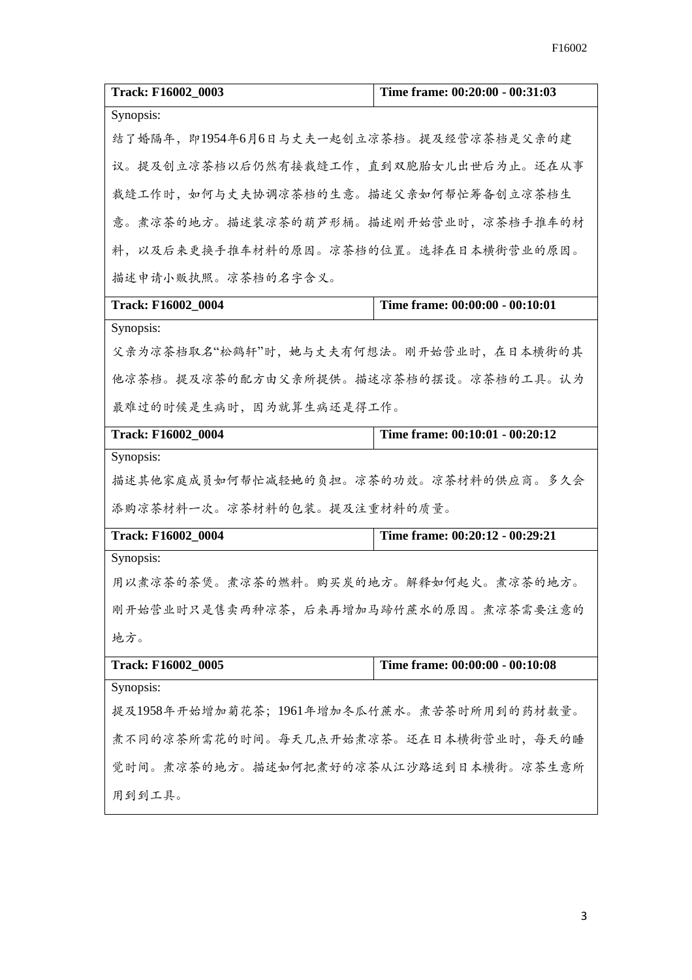| Track: F16002_0003                        | Time frame: 00:20:00 - 00:31:03 |  |
|-------------------------------------------|---------------------------------|--|
| Synopsis:                                 |                                 |  |
| 结了婚隔年, 即1954年6月6日与丈夫一起创立凉茶档。提及经营凉茶档是父亲的建  |                                 |  |
| 议。提及创立凉茶档以后仍然有接裁缝工作,直到双胞胎女儿出世后为止。还在从事     |                                 |  |
| 裁缝工作时,如何与丈夫协调凉茶档的生意。描述父亲如何帮忙筹备创立凉茶档生      |                                 |  |
| 意。煮凉茶的地方。描述装凉茶的葫芦形桶。描述刚开始营业时,凉茶档手推车的材     |                                 |  |
| 料,以及后来更换手推车材料的原因。凉茶档的位置。选择在日本横街营业的原因。     |                                 |  |
| 描述申请小贩执照。凉茶档的名字含义。                        |                                 |  |
| <b>Track: F16002 0004</b>                 | Time frame: 00:00:00 - 00:10:01 |  |
| Synopsis:                                 |                                 |  |
| 父亲为凉茶档取名"松鹤轩"时,她与丈夫有何想法。刚开始营业时,在日本横街的其    |                                 |  |
| 他凉茶档。提及凉茶的配方由父亲所提供。描述凉茶档的摆设。凉茶档的工具。认为     |                                 |  |
| 最难过的时候是生病时,因为就算生病还是得工作。                   |                                 |  |
| Track: F16002_0004                        | Time frame: 00:10:01 - 00:20:12 |  |
| Synopsis:                                 |                                 |  |
| 描述其他家庭成员如何帮忙减轻她的负担。凉茶的功效。凉茶材料的供应商。多久会     |                                 |  |
| 添购凉茶材料一次。凉茶材料的包装。提及注重材料的质量。               |                                 |  |
| <b>Track: F16002 0004</b>                 | Time frame: 00:20:12 - 00:29:21 |  |
| Synopsis:                                 |                                 |  |
| 用以煮凉茶的茶煲。煮凉茶的燃料。购买炭的地方。解释如何起火。煮凉茶的地方。     |                                 |  |
| 刚开始营业时只是售卖两种凉茶,后来再增加马蹄竹蔗水的原因。煮凉茶需要注意的     |                                 |  |
| 地方。                                       |                                 |  |
| Track: F16002_0005                        | Time frame: 00:00:00 - 00:10:08 |  |
| Synopsis:                                 |                                 |  |
| 提及1958年开始增加菊花茶;1961年增加冬瓜竹蔗水。煮苦茶时所用到的药材数量。 |                                 |  |
| 煮不同的凉茶所需花的时间。每天几点开始煮凉茶。还在日本横街营业时, 每天的睡    |                                 |  |
| 觉时间。煮凉茶的地方。描述如何把煮好的凉茶从江沙路运到日本横街。凉茶生意所     |                                 |  |
| 用到到工具。                                    |                                 |  |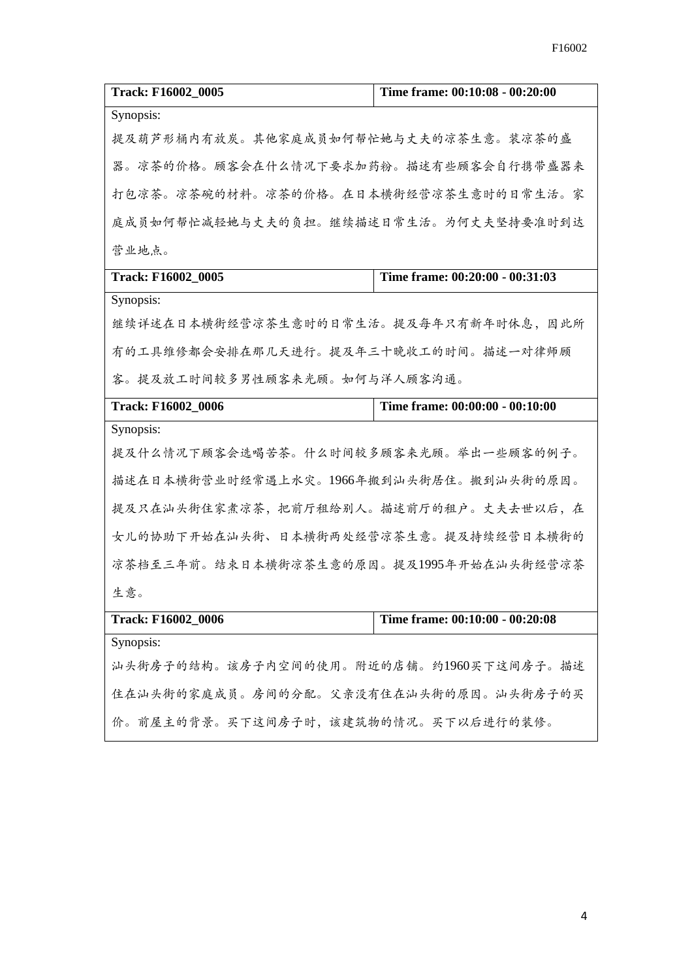| Track: F16002_0005                      | Time frame: 00:10:08 - 00:20:00 |
|-----------------------------------------|---------------------------------|
| Synopsis:                               |                                 |
| 提及葫芦形桶内有放炭。其他家庭成员如何帮忙她与丈夫的凉茶生意。装凉茶的盛    |                                 |
| 器。凉茶的价格。顾客会在什么情况下要求加药粉。描述有些顾客会自行携带盛器来   |                                 |
| 打包凉茶。凉茶碗的材料。凉茶的价格。在日本横街经营凉茶生意时的日常生活。家   |                                 |
| 庭成员如何帮忙减轻她与丈夫的负担。继续描述日常生活。为何丈夫坚持要准时到达   |                                 |
| 营业地点。                                   |                                 |
| Track: F16002_0005                      | Time frame: 00:20:00 - 00:31:03 |
| Synopsis:                               |                                 |
| 继续详述在日本横街经营凉茶生意时的日常生活。提及每年只有新年时休息,因此所   |                                 |
| 有的工具维修都会安排在那几天进行。提及年三十晚收工的时间。描述一对律师顾    |                                 |
| 客。提及放工时间较多男性顾客来光顾。如何与洋人顾客沟通。            |                                 |
| Track: F16002_0006                      | Time frame: 00:00:00 - 00:10:00 |
| Synopsis:                               |                                 |
| 提及什么情况下顾客会选喝苦茶。什么时间较多顾客来光顾。举出一些顾客的例子。   |                                 |
| 描述在日本横街营业时经常遇上水灾。1966年搬到汕头街居住。搬到汕头街的原因。 |                                 |
| 提及只在汕头街住家煮凉茶,把前厅租给别人。描述前厅的租户。丈夫去世以后,在   |                                 |
| 女儿的协助下开始在汕头街、日本横街两处经营凉茶生意。提及持续经营日本横街的   |                                 |
| 凉茶档至三年前。结束日本横街凉茶生意的原因。提及1995年开始在汕头街经营凉茶 |                                 |
| 生意。                                     |                                 |
| <b>Track: F16002_0006</b>               | Time frame: 00:10:00 - 00:20:08 |
| Synopsis:                               |                                 |
| 汕头街房子的结构。该房子内空间的使用。附近的店铺。约1960买下这间房子。描述 |                                 |
| 住在汕头街的家庭成员。房间的分配。父亲没有住在汕头街的原因。汕头街房子的买   |                                 |
| 价。前屋主的背景。买下这间房子时,该建筑物的情况。买下以后进行的装修。     |                                 |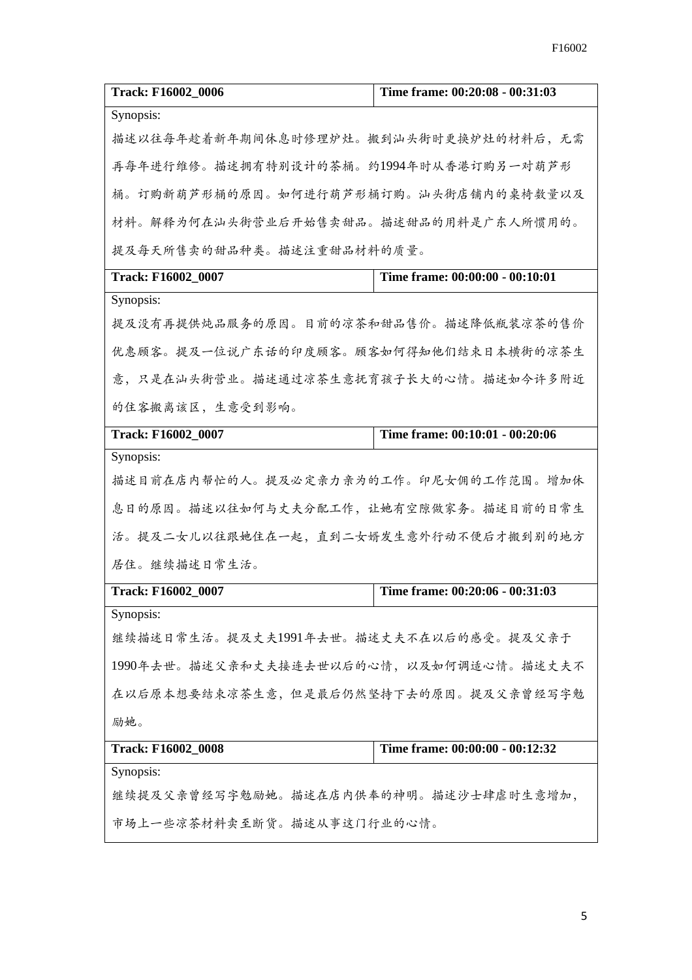| Track: F16002_0006                      | Time frame: 00:20:08 - 00:31:03 |  |
|-----------------------------------------|---------------------------------|--|
| Synopsis:                               |                                 |  |
| 描述以往每年趁着新年期间休息时修理炉灶。搬到汕头街时更换炉灶的材料后, 无需  |                                 |  |
| 再每年进行维修。描述拥有特别设计的茶桶。约1994年时从香港订购另一对葫芦形  |                                 |  |
| 桶。订购新葫芦形桶的原因。如何进行葫芦形桶订购。汕头街店铺内的桌椅数量以及   |                                 |  |
| 材料。解释为何在汕头街营业后开始售卖甜品。描述甜品的用料是广东人所惯用的。   |                                 |  |
| 提及每天所售卖的甜品种类。描述注重甜品材料的质量。               |                                 |  |
| Track: F16002_0007                      | Time frame: 00:00:00 - 00:10:01 |  |
| Synopsis:                               |                                 |  |
| 提及没有再提供炖品服务的原因。目前的凉茶和甜品售价。描述降低瓶装凉茶的售价   |                                 |  |
| 优惠顾客。提及一位说广东话的印度顾客。顾客如何得知他们结束日本横街的凉茶生   |                                 |  |
| 意,只是在汕头街营业。描述通过凉茶生意抚育孩子长大的心情。描述如今许多附近   |                                 |  |
| 的住客搬离该区,生意受到影响。                         |                                 |  |
| Track: F16002_0007                      | Time frame: 00:10:01 - 00:20:06 |  |
| Synopsis:                               |                                 |  |
| 描述目前在店内帮忙的人。提及必定亲力亲为的工作。印尼女佣的工作范围。增加休   |                                 |  |
| 息日的原因。描述以往如何与丈夫分配工作,让她有空隙做家务。描述目前的日常生   |                                 |  |
| 活。提及二女儿以往跟她住在一起,直到二女婿发生意外行动不便后才搬到别的地方   |                                 |  |
| 居住。继续描述日常生活。                            |                                 |  |
| Track: F16002_0007                      | Time frame: 00:20:06 - 00:31:03 |  |
| Synopsis:                               |                                 |  |
| 继续描述日常生活。提及丈夫1991年去世。描述丈夫不在以后的感受。提及父亲于  |                                 |  |
| 1990年去世。描述父亲和丈夫接连去世以后的心情,以及如何调适心情。描述丈夫不 |                                 |  |
| 在以后原本想要结束凉茶生意,但是最后仍然坚持下去的原因。提及父亲曾经写字勉   |                                 |  |
| 励她。                                     |                                 |  |
| Track: F16002_0008                      | Time frame: 00:00:00 - 00:12:32 |  |
| Synopsis:                               |                                 |  |
| 继续提及父亲曾经写字勉励她。描述在店内供奉的神明。描述沙士肆虐时生意增加,   |                                 |  |
| 市场上一些凉茶材料卖至断货。描述从事这门行业的心情。              |                                 |  |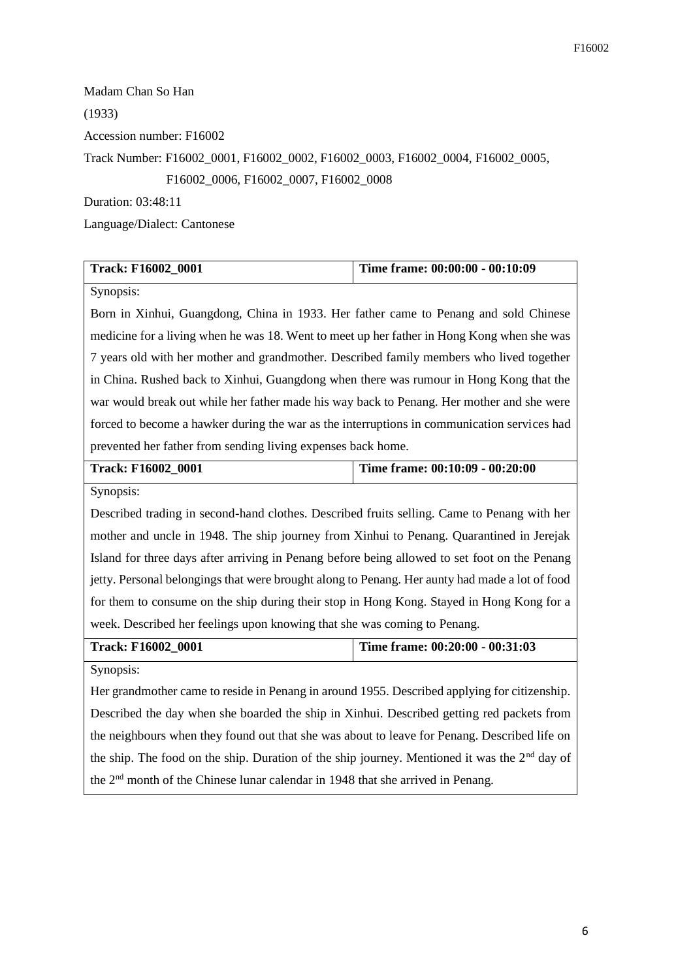Madam Chan So Han (1933) Accession number: F16002 Track Number: F16002\_0001, F16002\_0002, F16002\_0003, F16002\_0004, F16002\_0005, F16002\_0006, F16002\_0007, F16002\_0008

Duration: 03:48:11

Language/Dialect: Cantonese

| <b>Track: F16002 0001</b> | Time frame: 00:00:00 - 00:10:09 |
|---------------------------|---------------------------------|
|                           |                                 |

Synopsis:

Born in Xinhui, Guangdong, China in 1933. Her father came to Penang and sold Chinese medicine for a living when he was 18. Went to meet up her father in Hong Kong when she was 7 years old with her mother and grandmother. Described family members who lived together in China. Rushed back to Xinhui, Guangdong when there was rumour in Hong Kong that the war would break out while her father made his way back to Penang. Her mother and she were forced to become a hawker during the war as the interruptions in communication services had prevented her father from sending living expenses back home.

| <b>Track: F16002 0001</b> | Time frame: $00:10:09 - 00:20:00$ |
|---------------------------|-----------------------------------|
|                           |                                   |

Synopsis:

Described trading in second-hand clothes. Described fruits selling. Came to Penang with her mother and uncle in 1948. The ship journey from Xinhui to Penang. Quarantined in Jerejak Island for three days after arriving in Penang before being allowed to set foot on the Penang jetty. Personal belongings that were brought along to Penang. Her aunty had made a lot of food for them to consume on the ship during their stop in Hong Kong. Stayed in Hong Kong for a week. Described her feelings upon knowing that she was coming to Penang.

**Track: F16002\_0001 Time frame: 00:20:00 - 00:31:03**

Synopsis:

Her grandmother came to reside in Penang in around 1955. Described applying for citizenship. Described the day when she boarded the ship in Xinhui. Described getting red packets from the neighbours when they found out that she was about to leave for Penang. Described life on the ship. The food on the ship. Duration of the ship journey. Mentioned it was the  $2<sup>nd</sup>$  day of the 2nd month of the Chinese lunar calendar in 1948 that she arrived in Penang.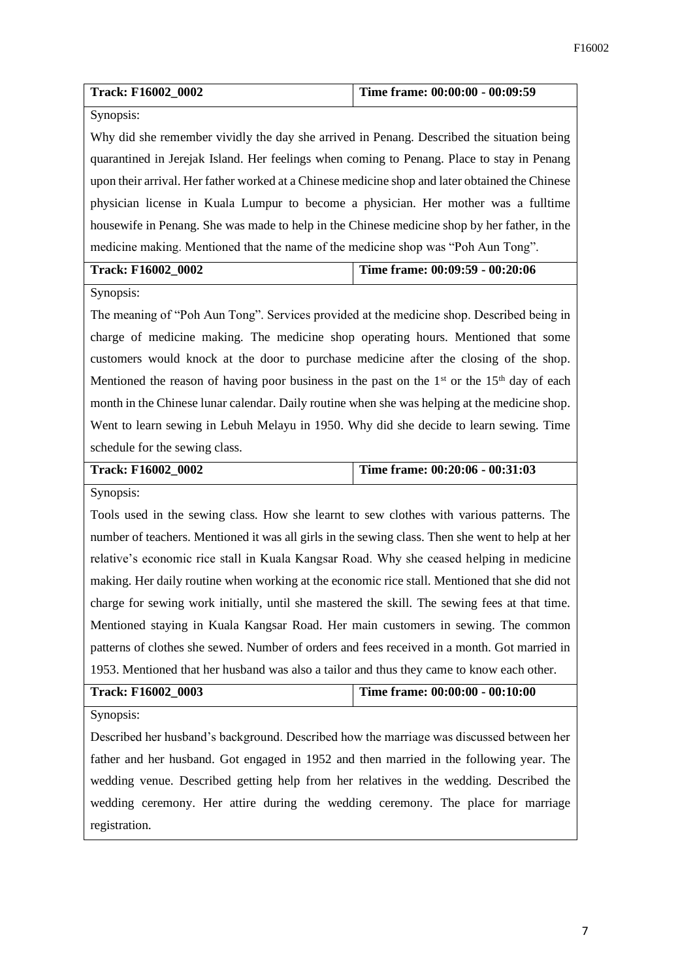| Track: F16002_0002                                                                               | Time frame: 00:00:00 - 00:09:59 |  |
|--------------------------------------------------------------------------------------------------|---------------------------------|--|
| Synopsis:                                                                                        |                                 |  |
| Why did she remember vividly the day she arrived in Penang. Described the situation being        |                                 |  |
| quarantined in Jerejak Island. Her feelings when coming to Penang. Place to stay in Penang       |                                 |  |
| upon their arrival. Her father worked at a Chinese medicine shop and later obtained the Chinese  |                                 |  |
| physician license in Kuala Lumpur to become a physician. Her mother was a fulltime               |                                 |  |
| housewife in Penang. She was made to help in the Chinese medicine shop by her father, in the     |                                 |  |
| medicine making. Mentioned that the name of the medicine shop was "Poh Aun Tong".                |                                 |  |
| Track: F16002_0002                                                                               | Time frame: 00:09:59 - 00:20:06 |  |
| Synopsis:                                                                                        |                                 |  |
| The meaning of "Poh Aun Tong". Services provided at the medicine shop. Described being in        |                                 |  |
| charge of medicine making. The medicine shop operating hours. Mentioned that some                |                                 |  |
| customers would knock at the door to purchase medicine after the closing of the shop.            |                                 |  |
| Mentioned the reason of having poor business in the past on the $1st$ or the $15th$ day of each  |                                 |  |
| month in the Chinese lunar calendar. Daily routine when she was helping at the medicine shop.    |                                 |  |
| Went to learn sewing in Lebuh Melayu in 1950. Why did she decide to learn sewing. Time           |                                 |  |
| schedule for the sewing class.                                                                   |                                 |  |
| Track: F16002_0002                                                                               | Time frame: 00:20:06 - 00:31:03 |  |
| Synopsis:                                                                                        |                                 |  |
| Tools used in the sewing class. How she learnt to sew clothes with various patterns. The         |                                 |  |
| number of teachers. Mentioned it was all girls in the sewing class. Then she went to help at her |                                 |  |
| relative's economic rice stall in Kuala Kangsar Road. Why she ceased helping in medicine         |                                 |  |
| making. Her daily routine when working at the economic rice stall. Mentioned that she did not    |                                 |  |
| charge for sewing work initially, until she mastered the skill. The sewing fees at that time.    |                                 |  |
| Mentioned staying in Kuala Kangsar Road. Her main customers in sewing. The common                |                                 |  |
| patterns of clothes she sewed. Number of orders and fees received in a month. Got married in     |                                 |  |
| 1953. Mentioned that her husband was also a tailor and thus they came to know each other.        |                                 |  |
| Track: F16002_0003                                                                               | Time frame: 00:00:00 - 00:10:00 |  |
| Synopsis:                                                                                        |                                 |  |
| Described her husband's background. Described how the marriage was discussed between her         |                                 |  |
| father and her husband. Got engaged in 1952 and then married in the following year. The          |                                 |  |

father and her husband. Got engaged in 1952 and then married in the following year. The wedding venue. Described getting help from her relatives in the wedding. Described the wedding ceremony. Her attire during the wedding ceremony. The place for marriage registration.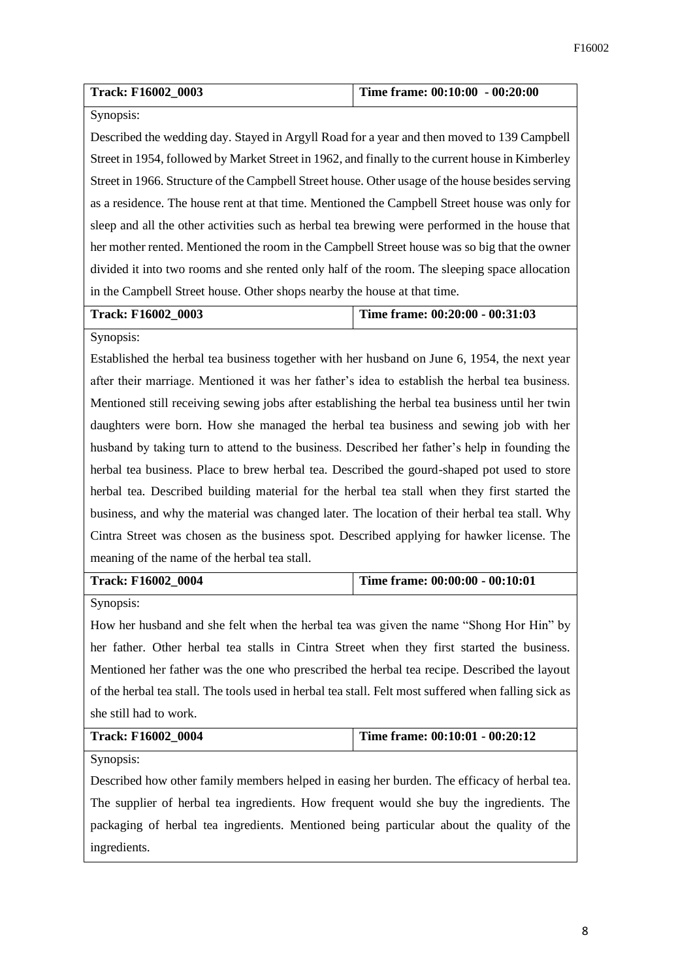| <b>Track: F16002 0003</b> | Time frame: $00:10:00 - 00:20:00$ |
|---------------------------|-----------------------------------|
|                           |                                   |

## Synopsis:

Described the wedding day. Stayed in Argyll Road for a year and then moved to 139 Campbell Street in 1954, followed by Market Street in 1962, and finally to the current house in Kimberley Street in 1966. Structure of the Campbell Street house. Other usage of the house besides serving as a residence. The house rent at that time. Mentioned the Campbell Street house was only for sleep and all the other activities such as herbal tea brewing were performed in the house that her mother rented. Mentioned the room in the Campbell Street house was so big that the owner divided it into two rooms and she rented only half of the room. The sleeping space allocation in the Campbell Street house. Other shops nearby the house at that time.

# **Track: F16002\_0003 Time frame: 00:20:00 - 00:31:03**

Synopsis:

Established the herbal tea business together with her husband on June 6, 1954, the next year after their marriage. Mentioned it was her father's idea to establish the herbal tea business. Mentioned still receiving sewing jobs after establishing the herbal tea business until her twin daughters were born. How she managed the herbal tea business and sewing job with her husband by taking turn to attend to the business. Described her father's help in founding the herbal tea business. Place to brew herbal tea. Described the gourd-shaped pot used to store herbal tea. Described building material for the herbal tea stall when they first started the business, and why the material was changed later. The location of their herbal tea stall. Why Cintra Street was chosen as the business spot. Described applying for hawker license. The meaning of the name of the herbal tea stall.

## **Track: F16002\_0004 Time frame: 00:00:00 - 00:10:01**

Synopsis:

How her husband and she felt when the herbal tea was given the name "Shong Hor Hin" by her father. Other herbal tea stalls in Cintra Street when they first started the business. Mentioned her father was the one who prescribed the herbal tea recipe. Described the layout of the herbal tea stall. The tools used in herbal tea stall. Felt most suffered when falling sick as she still had to work.

| <b>Track: F16002 0004</b> | Time frame: $00:10:01 - 00:20:12$ |
|---------------------------|-----------------------------------|
|---------------------------|-----------------------------------|

Synopsis:

Described how other family members helped in easing her burden. The efficacy of herbal tea. The supplier of herbal tea ingredients. How frequent would she buy the ingredients. The packaging of herbal tea ingredients. Mentioned being particular about the quality of the ingredients.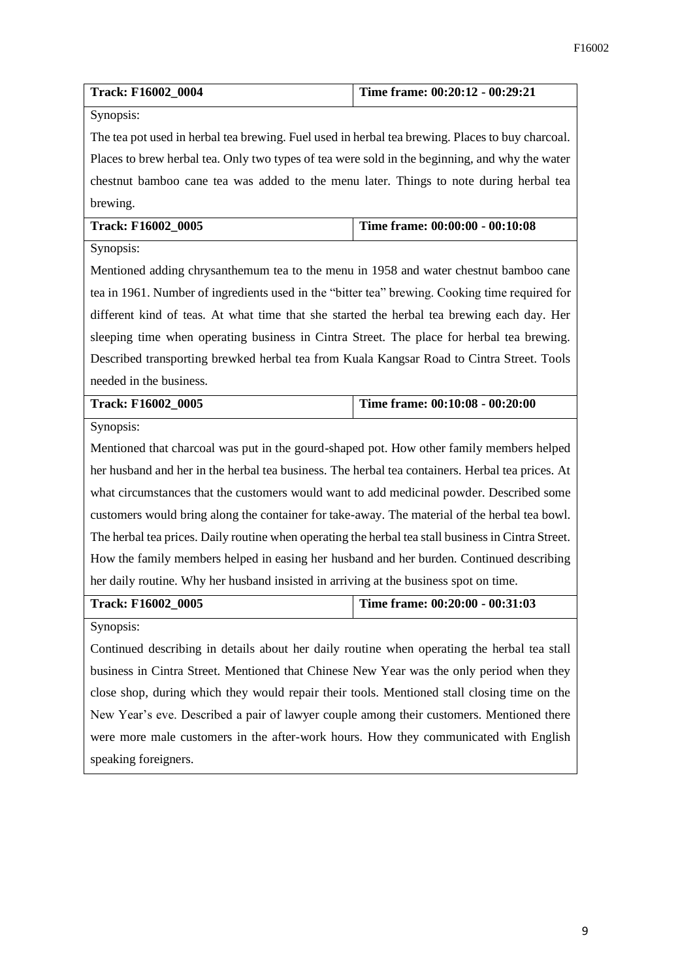| Track: F16002_0004                                                                                  | Time frame: 00:20:12 - 00:29:21                                                        |  |  |
|-----------------------------------------------------------------------------------------------------|----------------------------------------------------------------------------------------|--|--|
| Synopsis:                                                                                           |                                                                                        |  |  |
| The tea pot used in herbal tea brewing. Fuel used in herbal tea brewing. Places to buy charcoal.    |                                                                                        |  |  |
| Places to brew herbal tea. Only two types of tea were sold in the beginning, and why the water      |                                                                                        |  |  |
|                                                                                                     | chestnut bamboo cane tea was added to the menu later. Things to note during herbal tea |  |  |
| brewing.                                                                                            |                                                                                        |  |  |
| Track: F16002_0005                                                                                  | Time frame: 00:00:00 - 00:10:08                                                        |  |  |
| Synopsis:                                                                                           |                                                                                        |  |  |
| Mentioned adding chrysanthemum tea to the menu in 1958 and water chestnut bamboo cane               |                                                                                        |  |  |
| tea in 1961. Number of ingredients used in the "bitter tea" brewing. Cooking time required for      |                                                                                        |  |  |
| different kind of teas. At what time that she started the herbal tea brewing each day. Her          |                                                                                        |  |  |
| sleeping time when operating business in Cintra Street. The place for herbal tea brewing.           |                                                                                        |  |  |
| Described transporting brewked herbal tea from Kuala Kangsar Road to Cintra Street. Tools           |                                                                                        |  |  |
| needed in the business.                                                                             |                                                                                        |  |  |
| Track: F16002_0005                                                                                  | Time frame: 00:10:08 - 00:20:00                                                        |  |  |
| Synopsis:                                                                                           |                                                                                        |  |  |
| Mentioned that charcoal was put in the gourd-shaped pot. How other family members helped            |                                                                                        |  |  |
| her husband and her in the herbal tea business. The herbal tea containers. Herbal tea prices. At    |                                                                                        |  |  |
| what circumstances that the customers would want to add medicinal powder. Described some            |                                                                                        |  |  |
| customers would bring along the container for take-away. The material of the herbal tea bowl.       |                                                                                        |  |  |
| The herbal tea prices. Daily routine when operating the herbal tea stall business in Cintra Street. |                                                                                        |  |  |
| How the family members helped in easing her husband and her burden. Continued describing            |                                                                                        |  |  |
| her daily routine. Why her husband insisted in arriving at the business spot on time.               |                                                                                        |  |  |
| Time frame: 00:20:00 - 00:31:03<br>Track: F16002_0005                                               |                                                                                        |  |  |
| Synopsis:                                                                                           |                                                                                        |  |  |
| Continued describing in details about her daily routine when operating the herbal tea stall         |                                                                                        |  |  |
| business in Cintra Street. Mentioned that Chinese New Year was the only period when they            |                                                                                        |  |  |
| close shop, during which they would repair their tools. Mentioned stall closing time on the         |                                                                                        |  |  |
| New Year's eve. Described a pair of lawyer couple among their customers. Mentioned there            |                                                                                        |  |  |
| were more male customers in the after-work hours. How they communicated with English                |                                                                                        |  |  |
| speaking foreigners.                                                                                |                                                                                        |  |  |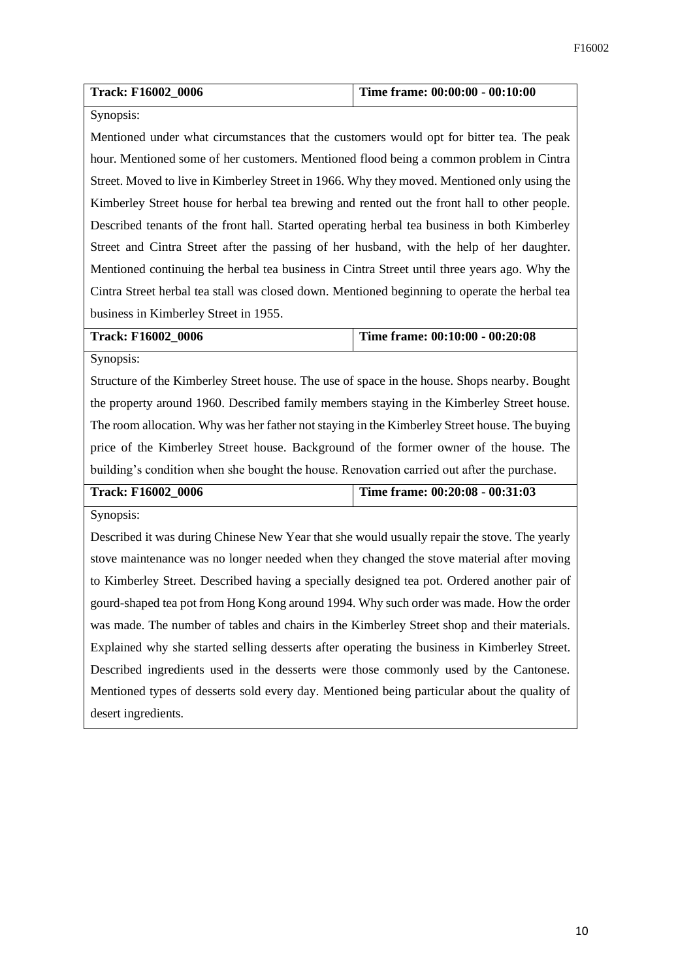| <b>Track: F16002 0006</b> | Time frame: 00:00:00 - 00:10:00 |
|---------------------------|---------------------------------|
|                           |                                 |

### Synopsis:

Mentioned under what circumstances that the customers would opt for bitter tea. The peak hour. Mentioned some of her customers. Mentioned flood being a common problem in Cintra Street. Moved to live in Kimberley Street in 1966. Why they moved. Mentioned only using the Kimberley Street house for herbal tea brewing and rented out the front hall to other people. Described tenants of the front hall. Started operating herbal tea business in both Kimberley Street and Cintra Street after the passing of her husband, with the help of her daughter. Mentioned continuing the herbal tea business in Cintra Street until three years ago. Why the Cintra Street herbal tea stall was closed down. Mentioned beginning to operate the herbal tea business in Kimberley Street in 1955.

**Track: F16002\_0006 Time frame: 00:10:00 - 00:20:08**

Synopsis:

Structure of the Kimberley Street house. The use of space in the house. Shops nearby. Bought the property around 1960. Described family members staying in the Kimberley Street house. The room allocation. Why was her father not staying in the Kimberley Street house. The buying price of the Kimberley Street house. Background of the former owner of the house. The building's condition when she bought the house. Renovation carried out after the purchase.

| <b>Track: F16002 0006</b> | Time frame: 00:20:08 - 00:31:03 |
|---------------------------|---------------------------------|
|                           |                                 |

Synopsis:

Described it was during Chinese New Year that she would usually repair the stove. The yearly stove maintenance was no longer needed when they changed the stove material after moving to Kimberley Street. Described having a specially designed tea pot. Ordered another pair of gourd-shaped tea pot from Hong Kong around 1994. Why such order was made. How the order was made. The number of tables and chairs in the Kimberley Street shop and their materials. Explained why she started selling desserts after operating the business in Kimberley Street. Described ingredients used in the desserts were those commonly used by the Cantonese. Mentioned types of desserts sold every day. Mentioned being particular about the quality of desert ingredients.